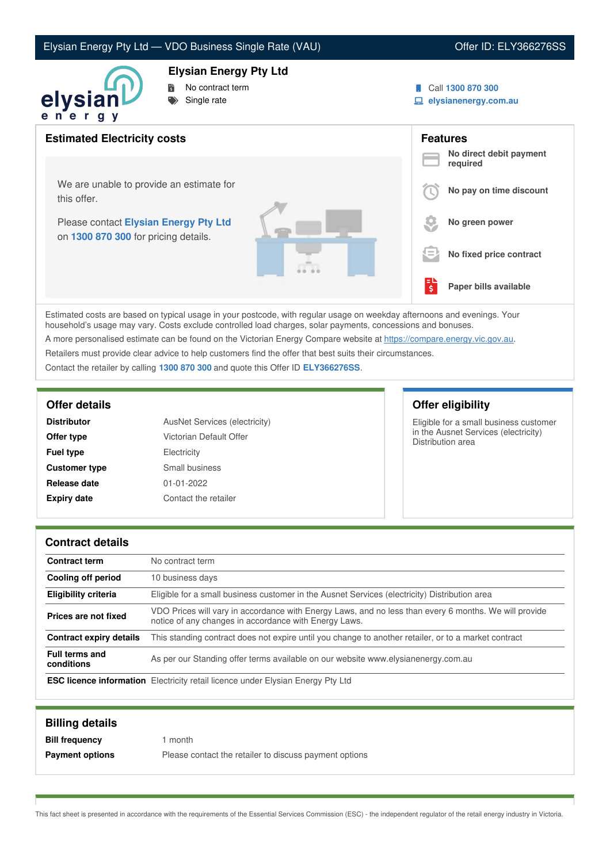# Elysian Energy Pty Ltd — VDO Business Single Rate (VAU) Channel Conter ID: ELY366276SS

### **Elysian Energy Pty Ltd**



- No contract term
- Single rate
- Call **1300 870 300**
- **elysianenergy.com.au**

| <b>Estimated Electricity costs</b>                                            |     | <b>Features</b><br>No direct debit payment |
|-------------------------------------------------------------------------------|-----|--------------------------------------------|
|                                                                               |     | required                                   |
| We are unable to provide an estimate for<br>this offer.                       |     | No pay on time discount                    |
| Please contact Elysian Energy Pty Ltd<br>on 1300 870 300 for pricing details. |     | No green power                             |
|                                                                               | s = | No fixed price contract                    |
|                                                                               | ś   | Paper bills available                      |

Estimated costs are based on typical usage in your postcode, with regular usage on weekday afternoons and evenings. Your household's usage may vary. Costs exclude controlled load charges, solar payments, concessions and bonuses.

A more personalised estimate can be found on the Victorian Energy Compare website at <https://compare.energy.vic.gov.au>.

Retailers must provide clear advice to help customers find the offer that best suits their circumstances.

Contact the retailer by calling **1300 870 300** and quote this Offer ID **ELY366276SS**.

| <b>Distributor</b>   | AusNet Services (electricity) |
|----------------------|-------------------------------|
| Offer type           | Victorian Default Offer       |
| <b>Fuel type</b>     | Electricity                   |
| <b>Customer type</b> | Small business                |
| Release date         | $01 - 01 - 2022$              |
| <b>Expiry date</b>   | Contact the retailer          |

**Offer details Offer eligibility**

Eligible for a small business customer in the Ausnet Services (electricity) Distribution area

### **Contract details**

| <b>Contract term</b>                | No contract term                                                                                                                                               |
|-------------------------------------|----------------------------------------------------------------------------------------------------------------------------------------------------------------|
| Cooling off period                  | 10 business days                                                                                                                                               |
| <b>Eligibility criteria</b>         | Eligible for a small business customer in the Ausnet Services (electricity) Distribution area                                                                  |
| Prices are not fixed                | VDO Prices will vary in accordance with Energy Laws, and no less than every 6 months. We will provide<br>notice of any changes in accordance with Energy Laws. |
| Contract expiry details             | This standing contract does not expire until you change to another retailer, or to a market contract                                                           |
| <b>Full terms and</b><br>conditions | As per our Standing offer terms available on our website www.elysianenergy.com.au                                                                              |
|                                     | <b>ESC licence information</b> Electricity retail licence under Elysian Energy Pty Ltd                                                                         |

| <b>Billing details</b> |                                                        |
|------------------------|--------------------------------------------------------|
| <b>Bill frequency</b>  | month                                                  |
| <b>Payment options</b> | Please contact the retailer to discuss payment options |